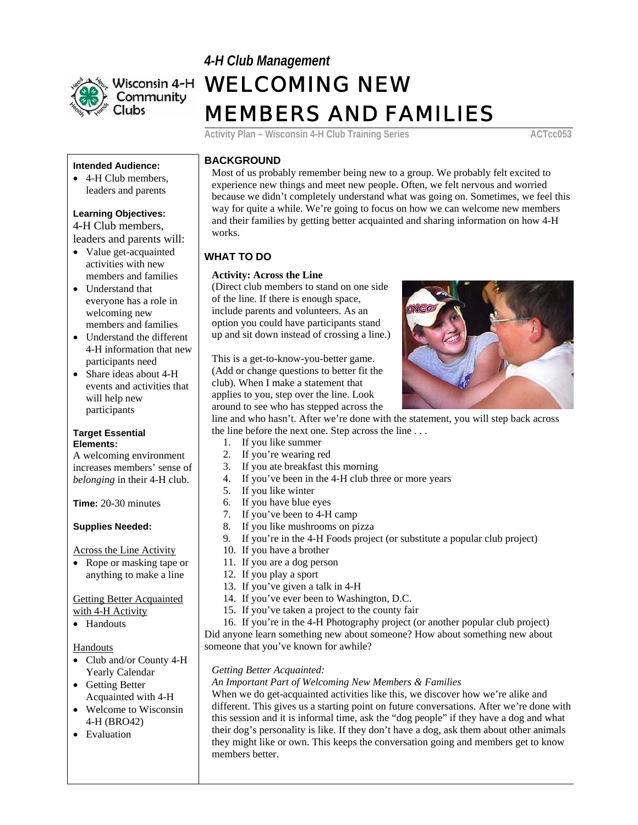

# *4-H Club Management* WELCOMING NEW MEMBERS AND FAMILIES

Activity Plan – Wisconsin 4-H Club Training Series **ACTCCO53** 

#### **Intended Audience:**

• 4-H Club members, leaders and parents

## **Learning Objectives:**

4-H Club members, leaders and parents will:

- Value get-acquainted activities with new members and families
- Understand that everyone has a role in welcoming new members and families
- Understand the different 4-H information that new participants need
- Share ideas about 4-H events and activities that will help new participants

#### **Target Essential Elements:**

A welcoming environment increases members' sense of *belonging* in their 4-H club.

**Time:** 20-30 minutes

### **Supplies Needed:**

Across the Line Activity

• Rope or masking tape or anything to make a line

#### Getting Better Acquainted with 4-H Activity

• Handouts

#### **Handouts**

- Club and/or County 4-H Yearly Calendar
- Getting Better Acquainted with 4-H
- Welcome to Wisconsin 4-H (BRO42)
- Evaluation

## **BACKGROUND**

Most of us probably remember being new to a group. We probably felt excited to experience new things and meet new people. Often, we felt nervous and worried because we didn't completely understand what was going on. Sometimes, we feel this way for quite a while. We're going to focus on how we can welcome new members and their families by getting better acquainted and sharing information on how 4-H works.

## **WHAT TO DO**

#### **Activity: Across the Line**

(Direct club members to stand on one side of the line. If there is enough space, include parents and volunteers. As an option you could have participants stand up and sit down instead of crossing a line.)

This is a get-to-know-you-better game. (Add or change questions to better fit the club). When I make a statement that applies to you, step over the line. Look around to see who has stepped across the



line and who hasn't. After we're done with the statement, you will step back across the line before the next one. Step across the line . . .

- 1. If you like summer
- 2. If you're wearing red
- 3. If you ate breakfast this morning
- 4. If you've been in the 4-H club three or more years
- 5. If you like winter
- 6. If you have blue eyes
- 7. If you've been to 4-H camp
- 8. If you like mushrooms on pizza
- 9. If you're in the 4-H Foods project (or substitute a popular club project)
- 10. If you have a brother
- 11. If you are a dog person
- 12. If you play a sport
- 13. If you've given a talk in 4-H
- 14. If you've ever been to Washington, D.C.
- 15. If you've taken a project to the county fair

16. If you're in the 4-H Photography project (or another popular club project) Did anyone learn something new about someone? How about something new about someone that you've known for awhile?

#### *Getting Better Acquainted:*

#### *An Important Part of Welcoming New Members & Families*

When we do get-acquainted activities like this, we discover how we're alike and different. This gives us a starting point on future conversations. After we're done with this session and it is informal time, ask the "dog people" if they have a dog and what their dog's personality is like. If they don't have a dog, ask them about other animals they might like or own. This keeps the conversation going and members get to know members better.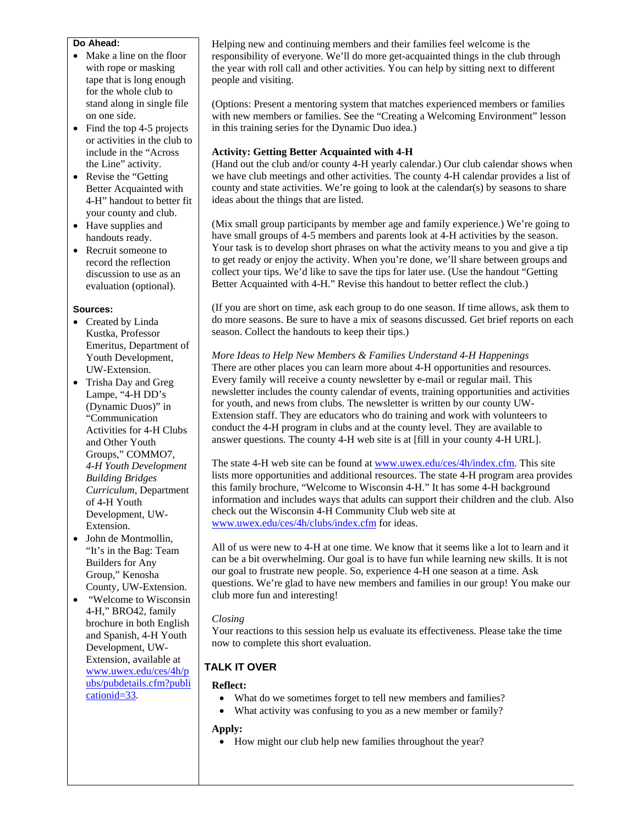#### **Do Ahead:**

- Make a line on the floor with rope or masking tape that is long enough for the whole club to stand along in single file on one side.
- Find the top 4-5 projects or activities in the club to include in the "Across the Line" activity.
- Revise the "Getting" Better Acquainted with 4-H" handout to better fit your county and club.
- Have supplies and handouts ready.
- Recruit someone to record the reflection discussion to use as an evaluation (optional).

#### **Sources:**

- Created by Linda Kustka, Professor Emeritus, Department of Youth Development, UW-Extension.
- Trisha Day and Greg Lampe, "4-H DD's (Dynamic Duos)" in "Communication Activities for 4-H Clubs and Other Youth Groups," COMMO7, *4-H Youth Development Building Bridges Curriculum*, Department of 4-H Youth Development, UW-Extension.
- John de Montmollin, "It's in the Bag: Team Builders for Any Group," Kenosha County, UW-Extension.
- "Welcome to Wisconsin 4-H," BRO42, family brochure in both English and Spanish, 4-H Youth Development, UW-Extension, available at www.uwex.edu/ces/4h/p ubs/pubdetails.cfm?publi cationid=33.

Helping new and continuing members and their families feel welcome is the responsibility of everyone. We'll do more get-acquainted things in the club through the year with roll call and other activities. You can help by sitting next to different people and visiting.

(Options: Present a mentoring system that matches experienced members or families with new members or families. See the "Creating a Welcoming Environment" lesson in this training series for the Dynamic Duo idea.)

## **Activity: Getting Better Acquainted with 4-H**

(Hand out the club and/or county 4-H yearly calendar.) Our club calendar shows when we have club meetings and other activities. The county 4-H calendar provides a list of county and state activities. We're going to look at the calendar(s) by seasons to share ideas about the things that are listed.

(Mix small group participants by member age and family experience.) We're going to have small groups of 4-5 members and parents look at 4-H activities by the season. Your task is to develop short phrases on what the activity means to you and give a tip to get ready or enjoy the activity. When you're done, we'll share between groups and collect your tips. We'd like to save the tips for later use. (Use the handout "Getting Better Acquainted with 4-H." Revise this handout to better reflect the club.)

(If you are short on time, ask each group to do one season. If time allows, ask them to do more seasons. Be sure to have a mix of seasons discussed. Get brief reports on each season. Collect the handouts to keep their tips.)

*More Ideas to Help New Members & Families Understand 4-H Happenings*  There are other places you can learn more about 4-H opportunities and resources. Every family will receive a county newsletter by e-mail or regular mail. This newsletter includes the county calendar of events, training opportunities and activities for youth, and news from clubs. The newsletter is written by our county UW-Extension staff. They are educators who do training and work with volunteers to conduct the 4-H program in clubs and at the county level. They are available to answer questions. The county 4-H web site is at [fill in your county 4-H URL].

The state 4-H web site can be found at www.uwex.edu/ces/4h/index.cfm. This site lists more opportunities and additional resources. The state 4-H program area provides this family brochure, "Welcome to Wisconsin 4-H." It has some 4-H background information and includes ways that adults can support their children and the club. Also check out the Wisconsin 4-H Community Club web site at www.uwex.edu/ces/4h/clubs/index.cfm for ideas.

All of us were new to 4-H at one time. We know that it seems like a lot to learn and it can be a bit overwhelming. Our goal is to have fun while learning new skills. It is not our goal to frustrate new people. So, experience 4-H one season at a time. Ask questions. We're glad to have new members and families in our group! You make our club more fun and interesting!

#### *Closing*

Your reactions to this session help us evaluate its effectiveness. Please take the time now to complete this short evaluation.

### **TALK IT OVER**

#### **Reflect:**

- What do we sometimes forget to tell new members and families?
- What activity was confusing to you as a new member or family?

#### **Apply:**

• How might our club help new families throughout the year?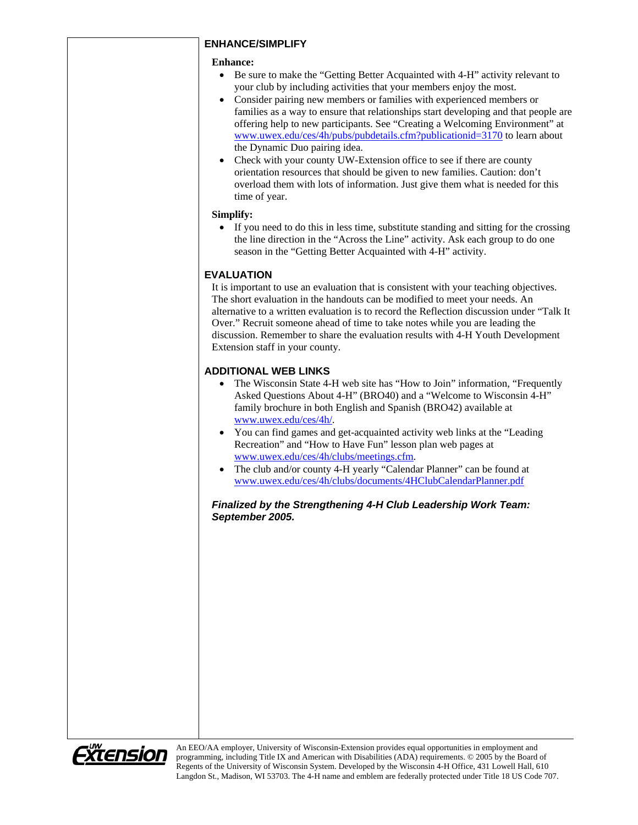### **ENHANCE/SIMPLIFY**

#### **Enhance:**

- Be sure to make the "Getting Better Acquainted with 4-H" activity relevant to your club by including activities that your members enjoy the most.
- Consider pairing new members or families with experienced members or families as a way to ensure that relationships start developing and that people are offering help to new participants. See "Creating a Welcoming Environment" at www.uwex.edu/ces/4h/pubs/pubdetails.cfm?publicationid=3170 to learn about the Dynamic Duo pairing idea.
- Check with your county UW-Extension office to see if there are county orientation resources that should be given to new families. Caution: don't overload them with lots of information. Just give them what is needed for this time of year.

## **Simplify:**

• If you need to do this in less time, substitute standing and sitting for the crossing the line direction in the "Across the Line" activity. Ask each group to do one season in the "Getting Better Acquainted with 4-H" activity.

## **EVALUATION**

It is important to use an evaluation that is consistent with your teaching objectives. The short evaluation in the handouts can be modified to meet your needs. An alternative to a written evaluation is to record the Reflection discussion under "Talk It Over." Recruit someone ahead of time to take notes while you are leading the discussion. Remember to share the evaluation results with 4-H Youth Development Extension staff in your county.

## **ADDITIONAL WEB LINKS**

- The Wisconsin State 4-H web site has "How to Join" information, "Frequently Asked Questions About 4-H" (BRO40) and a "Welcome to Wisconsin 4-H" family brochure in both English and Spanish (BRO42) available at www.uwex.edu/ces/4h/.
- You can find games and get-acquainted activity web links at the "Leading Recreation" and "How to Have Fun" lesson plan web pages at www.uwex.edu/ces/4h/clubs/meetings.cfm.
- The club and/or county 4-H yearly "Calendar Planner" can be found at www.uwex.edu/ces/4h/clubs/documents/4HClubCalendarPlanner.pdf

### *Finalized by the Strengthening 4-H Club Leadership Work Team: September 2005.*



An EEO/AA employer, University of Wisconsin-Extension provides equal opportunities in employment and programming, including Title IX and American with Disabilities (ADA) requirements. © 2005 by the Board of Regents of the University of Wisconsin System. Developed by the Wisconsin 4-H Office, 431 Lowell Hall, 610 Langdon St., Madison, WI 53703. The 4-H name and emblem are federally protected under Title 18 US Code 707.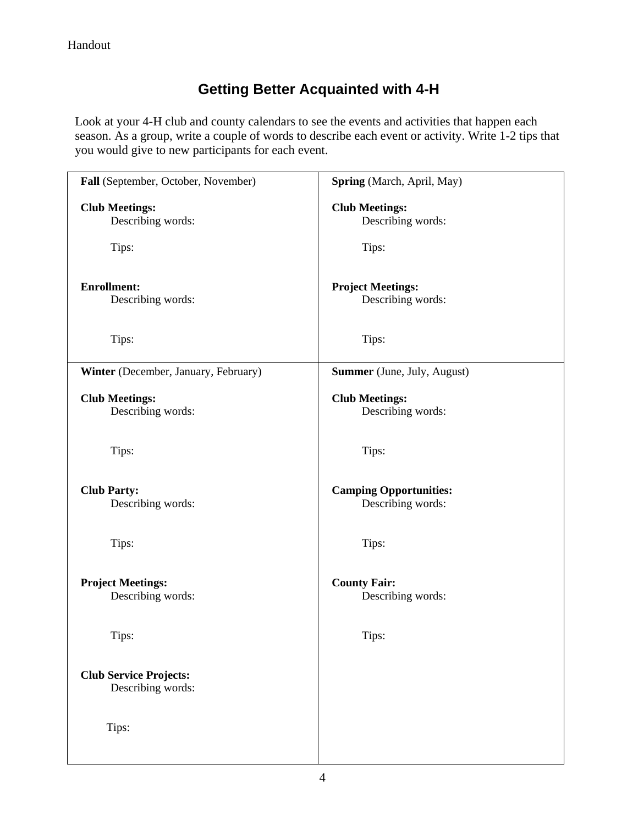## **Getting Better Acquainted with 4-H**

Look at your 4-H club and county calendars to see the events and activities that happen each season. As a group, write a couple of words to describe each event or activity. Write 1-2 tips that you would give to new participants for each event.

| Fall (September, October, November)                | Spring (March, April, May)                         |
|----------------------------------------------------|----------------------------------------------------|
| <b>Club Meetings:</b><br>Describing words:         | <b>Club Meetings:</b><br>Describing words:         |
| Tips:                                              | Tips:                                              |
| <b>Enrollment:</b><br>Describing words:            | <b>Project Meetings:</b><br>Describing words:      |
| Tips:                                              | Tips:                                              |
| Winter (December, January, February)               | <b>Summer</b> (June, July, August)                 |
| <b>Club Meetings:</b><br>Describing words:         | <b>Club Meetings:</b><br>Describing words:         |
| Tips:                                              | Tips:                                              |
| <b>Club Party:</b><br>Describing words:            | <b>Camping Opportunities:</b><br>Describing words: |
| Tips:                                              | Tips:                                              |
| <b>Project Meetings:</b><br>Describing words:      | <b>County Fair:</b><br>Describing words:           |
| Tips:                                              | Tips:                                              |
| <b>Club Service Projects:</b><br>Describing words: |                                                    |
| Tips:                                              |                                                    |